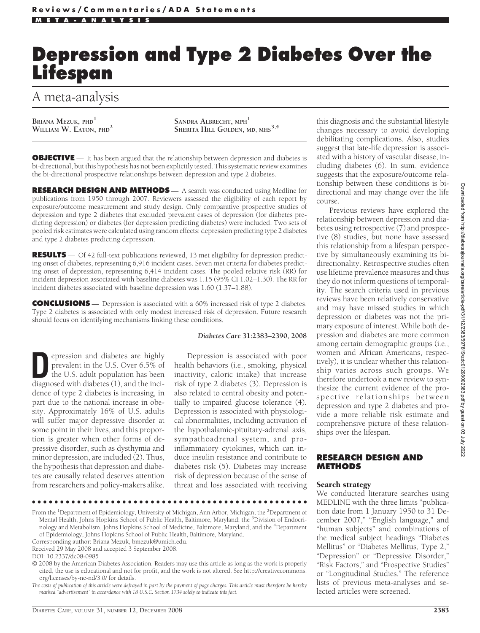# **Depression and Type 2 Diabetes Over the Lifespan**

# A meta-analysis

Briana Mezuk, phd<sup>1</sup><br>William W. Eaton, phd<sup>2</sup>

 $S$ ANDRA **ALBRECHT**, MPH<sup>1</sup> **SHERITA HILL GOLDEN, MD, MHS3,4**

**OBJECTIVE** — It has been argued that the relationship between depression and diabetes is bi-directional, but this hypothesis has not been explicitly tested. This systematic review examines the bi-directional prospective relationships between depression and type 2 diabetes.

**RESEARCH DESIGN AND METHODS** — A search was conducted using Medline for publications from 1950 through 2007. Reviewers assessed the eligibility of each report by exposure/outcome measurement and study design. Only comparative prospective studies of depression and type 2 diabetes that excluded prevalent cases of depression (for diabetes predicting depression) or diabetes (for depression predicting diabetes) were included. Two sets of pooled risk estimates were calculated using random effects: depression predicting type 2 diabetes and type 2 diabetes predicting depression.

**RESULTS** — Of 42 full-text publications reviewed, 13 met eligibility for depression predicting onset of diabetes, representing 6,916 incident cases. Seven met criteria for diabetes predicting onset of depression, representing 6,414 incident cases. The pooled relative risk (RR) for incident depression associated with baseline diabetes was 1.15 (95% CI 1.02–1.30). The RR for incident diabetes associated with baseline depression was 1.60 (1.37–1.88).

**CONCLUSIONS** — Depression is associated with a 60% increased risk of type 2 diabetes. Type 2 diabetes is associated with only modest increased risk of depression. Future research should focus on identifying mechanisms linking these conditions.

**Depression and diabetes are highly<br>prevalent in the U.S. Over 6.5% of<br>the U.S. adult population has been<br>diagnosed with diabetes (1) and the inci**prevalent in the U.S. Over 6.5% of diagnosed with diabetes (1), and the incidence of type 2 diabetes is increasing, in part due to the national increase in obesity. Approximately 16% of U.S. adults will suffer major depressive disorder at some point in their lives, and this proportion is greater when other forms of depressive disorder, such as dysthymia and minor depression, are included (2). Thus, the hypothesis that depression and diabetes are causally related deserves attention from researchers and policy-makers alike.

#### *Diabetes Care* **31:2383–2390, 2008**

Depression is associated with poor health behaviors (i.e., smoking, physical inactivity, caloric intake) that increase risk of type 2 diabetes (3). Depression is also related to central obesity and potentially to impaired glucose tolerance (4). Depression is associated with physiological abnormalities, including activation of the hypothalamic-pituitary-adrenal axis, sympathoadrenal system, and proinflammatory cytokines, which can induce insulin resistance and contribute to diabetes risk (5). Diabetes may increase risk of depression because of the sense of threat and loss associated with receiving

●●●●●●●●●●●●●●●●●●●●●●●●●●●●●●●●●●●●●●●●●●●●●●●●●

From the <sup>1</sup>Department of Epidemiology, University of Michigan, Ann Arbor, Michigan; the <sup>2</sup>Department of Mental Health, Johns Hopkins School of Public Health, Baltimore, Maryland; the <sup>3</sup>Division of Endocrinology and Metabolism, Johns Hopkins School of Medicine, Baltimore, Maryland; and the <sup>4</sup> Department of Epidemiology, Johns Hopkins School of Public Health, Baltimore, Maryland.

Corresponding author: Briana Mezuk, bmezuk@umich.edu.

Received 29 May 2008 and accepted 3 September 2008.

© 2008 by the American Diabetes Association. Readers may use this article as long as the work is properly cited, the use is educational and not for profit, and the work is not altered. See http://creativecommons. org/licenses/by-nc-nd/3.0/ for details.

*The costs of publication of this article were defrayed in part by the payment of page charges. This article must therefore be hereby marked "advertisement" in accordance with 18 U.S.C. Section 1734 solely to indicate this fact.*

this diagnosis and the substantial lifestyle changes necessary to avoid developing debilitating complications. Also, studies suggest that late-life depression is associated with a history of vascular disease, including diabetes (6). In sum, evidence suggests that the exposure/outcome relationship between these conditions is bidirectional and may change over the life course.

Previous reviews have explored the relationship between depression and diabetes using retrospective (7) and prospective (8) studies, but none have assessed this relationship from a lifespan perspective by simultaneously examining its bidirectionality. Retrospective studies often use lifetime prevalence measures and thus they do not inform questions of temporality. The search criteria used in previous reviews have been relatively conservative and may have missed studies in which depression or diabetes was not the primary exposure of interest. While both depression and diabetes are more common among certain demographic groups (i.e., women and African Americans, respectively), it is unclear whether this relationship varies across such groups. We therefore undertook a new review to synthesize the current evidence of the prospective relationships between depression and type 2 diabetes and provide a more reliable risk estimate and comprehensive picture of these relationships over the lifespan.

# **RESEARCH DESIGN AND METHODS**

#### Search strategy

We conducted literature searches using MEDLINE with the three limits "publication date from 1 January 1950 to 31 December 2007," "English language," and "human subjects" and combinations of the medical subject headings "Diabetes Mellitus" or "Diabetes Mellitus, Type 2," "Depression" or "Depressive Disorder," "Risk Factors," and "Prospective Studies" or "Longitudinal Studies." The reference lists of previous meta-analyses and selected articles were screened.

DOI: 10.2337/dc08-0985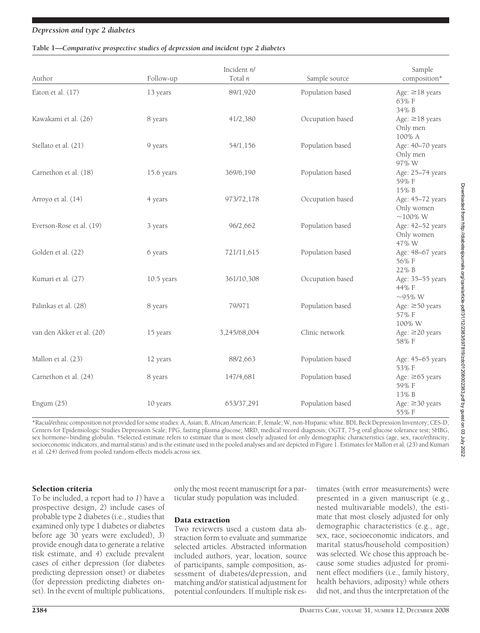#### **Table 1—***Comparative prospective studies of depression and incident type 2 diabetes*

| Author                    | Follow-up    | Incident n/<br>Total n | Sample source    | Sample<br>composition*                          |
|---------------------------|--------------|------------------------|------------------|-------------------------------------------------|
| Eaton et al. (17)         | 13 years     | 89/1,920               | Population based | Age: $\geq$ 18 years<br>63% F<br>34% B          |
| Kawakami et al. (26)      | 8 years      | 41/2,380               | Occupation based | Age: $\geq$ 18 years<br>Only men<br>100% A      |
| Stellato et al. (21)      | 9 years      | 54/1,156               | Population based | Age: 40-70 years<br>Only men<br>97% W           |
| Carnethon et al. (18)     | 15.6 years   | 369/6,190              | Population based | Age: 25-74 years<br>59% F<br>15% B              |
| Arroyo et al. (14)        | 4 years      | 973/72,178             | Occupation based | Age: 45-72 years<br>Only women<br>$\sim$ 100% W |
| Everson-Rose et al. (19)  | 3 years      | 96/2,662               | Population based | Age: 42-52 years<br>Only women<br>47% W         |
| Golden et al. (22)        | 6 years      | 721/11,615             | Population based | Age: 48-67 years<br>56% F<br>22% B              |
| Kumari et al. (27)        | $10.5$ years | 361/10,308             | Occupation based | Age: 35-55 years<br>44% F<br>$\sim$ 95% W       |
| Palinkas et al. (28)      | 8 years      | 79/971                 | Population based | Age: $\geq 50$ years<br>57% F<br>100% W         |
| van den Akker et al. (20) | 15 years     | 3,245/68,004           | Clinic network   | Age: ≥20 years<br>58% F                         |
| Mallon et al. (23)        | 12 years     | 88/2,663               | Population based | Age: 45-65 years<br>53% F                       |
| Carnethon et al. (24)     | 8 years      | 147/4,681              | Population based | Age: $\geq 65$ years<br>59% F<br>13% B          |
| Engum $(25)$              | 10 years     | 653/37,291             | Population based | Age: $\geq$ 30 years<br>55% F                   |

\*Racial/ethnic composition not provided for some studies: A, Asian; B, African American; F, female; W, non-Hispanic white. BDI, Beck Depression Inventory; CES-D, Centers for Epidemiologic Studies Depression Scale; FPG, fasting plasma glucose; MRD, medical record diagnosis; OGTT, 75-g oral glucose tolerance test; SHBG, sex hormone–binding globulin. †Selected estimate refers to estimate that is most closely adjusted for only demographic characteristics (age, sex, race/ethnicity, socioeconomic indicators, and marital status) and is the estimate used in the pooled analyses and are depicted in Figure 1. Estimates for Mallon et al. (23) and Kumari et al. (24) derived from pooled random-effects models across sex.

# Selection criteria

To be included, a report had to *1*) have a prospective design, *2*) include cases of probable type 2 diabetes (i.e., studies that examined only type 1 diabetes or diabetes before age 30 years were excluded), *3*) provide enough data to generate a relative risk estimate, and *4*) exclude prevalent cases of either depression (for diabetes predicting depression onset) or diabetes (for depression predicting diabetes onset). In the event of multiple publications,

only the most recent manuscript for a particular study population was included.

#### Data extraction

Two reviewers used a custom data abstraction form to evaluate and summarize selected articles. Abstracted information included authors, year, location, source of participants, sample composition, assessment of diabetes/depression, and matching and/or statistical adjustment for potential confounders. If multiple risk estimates (with error measurements) were presented in a given manuscript (e.g., nested multivariable models), the estimate that most closely adjusted for only demographic characteristics (e.g., age, sex, race, socioeconomic indicators, and marital status/household composition) was selected. We chose this approach because some studies adjusted for prominent effect modifiers (i.e., family history, health behaviors, adiposity) while others did not, and thus the interpretation of the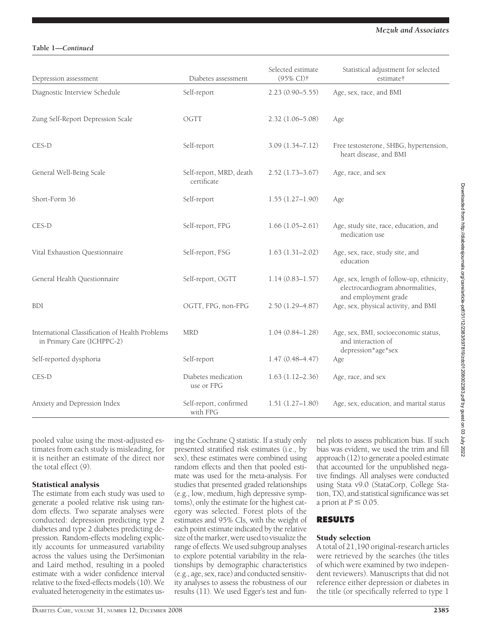# **Table 1—***Continued*

| Depression assessment                                                         | Diabetes assessment                    | Selected estimate<br>(95% CI)† | Statistical adjustment for selected<br>estimate†                                 |
|-------------------------------------------------------------------------------|----------------------------------------|--------------------------------|----------------------------------------------------------------------------------|
| Diagnostic Interview Schedule                                                 | Self-report                            | $2.23(0.90 - 5.55)$            | Age, sex, race, and BMI                                                          |
| Zung Self-Report Depression Scale                                             | OGTT                                   | $2.32(1.06 - 5.08)$            | Age                                                                              |
| CES-D                                                                         | Self-report                            | $3.09(1.34 - 7.12)$            | Free testosterone, SHBG, hypertension,<br>heart disease, and BMI                 |
| General Well-Being Scale                                                      | Self-report, MRD, death<br>certificate | $2.52(1.73 - 3.67)$            | Age, race, and sex                                                               |
| Short-Form 36                                                                 | Self-report                            | $1.55(1.27-1.90)$              | Age                                                                              |
| CES-D                                                                         | Self-report, FPG                       | $1.66(1.05-2.61)$              | Age, study site, race, education, and<br>medication use                          |
| Vital Exhaustion Questionnaire                                                | Self-report, FSG                       | $1.63(1.31-2.02)$              | Age, sex, race, study site, and<br>education                                     |
| General Health Questionnaire                                                  | Self-report, OGTT                      | $1.14(0.83 - 1.57)$            | Age, sex, length of follow-up, ethnicity,<br>electrocardiogram abnormalities,    |
| <b>BDI</b>                                                                    | OGTT, FPG, non-FPG                     | $2.50(1.29 - 4.87)$            | and employment grade<br>Age, sex, physical activity, and BMI                     |
| International Classification of Health Problems<br>in Primary Care (ICHPPC-2) | <b>MRD</b>                             | $1.04(0.84 - 1.28)$            | Age, sex, BMI, socioeconomic status,<br>and interaction of<br>depression*age*sex |
| Self-reported dysphoria                                                       | Self-report                            | $1.47(0.48 - 4.47)$            | Age                                                                              |
| CES-D                                                                         | Diabetes medication<br>use or FPG      | $1.63(1.12 - 2.36)$            | Age, race, and sex                                                               |
| Anxiety and Depression Index                                                  | Self-report, confirmed<br>with FPG     | $1.51(1.27-1.80)$              | Age, sex, education, and marital status                                          |

pooled value using the most-adjusted estimates from each study is misleading, for it is neither an estimate of the direct nor the total effect (9).

# Statistical analysis

The estimate from each study was used to generate a pooled relative risk using random effects. Two separate analyses were conducted: depression predicting type 2 diabetes and type 2 diabetes predicting depression. Random-effects modeling explicitly accounts for unmeasured variability across the values using the DerSimonian and Laird method, resulting in a pooled estimate with a wider confidence interval relative to the fixed-effects models (10). We evaluated heterogeneity in the estimates using the Cochrane Q statistic. If a study only presented stratified risk estimates (i.e., by sex), these estimates were combined using random effects and then that pooled estimate was used for the meta-analysis. For studies that presented graded relationships (e.g., low, medium, high depressive symptoms), only the estimate for the highest category was selected. Forest plots of the estimates and 95% CIs, with the weight of each point estimate indicated by the relative size of the marker, were used to visualize the range of effects. We used subgroup analyses to explore potential variability in the relationships by demographic characteristics (e.g., age, sex, race) and conducted sensitivity analyses to assess the robustness of our results (11). We used Egger's test and funnel plots to assess publication bias. If such bias was evident, we used the trim and fill approach (12) to generate a pooled estimate that accounted for the unpublished negative findings. All analyses were conducted using Stata v9.0 (StataCorp, College Station, TX), and statistical significance was set a priori at  $P \leq 0.05$ .

# **RESULTS**

#### Study selection

A total of 21,190 original-research articles were retrieved by the searches (the titles of which were examined by two independent reviewers). Manuscripts that did not reference either depression or diabetes in the title (or specifically referred to type 1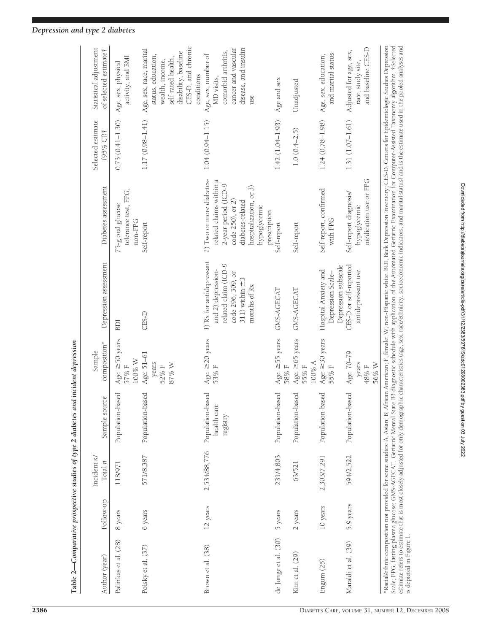|                          |           |                            | Table 2—Comparative prospective studies of type 2 diabetes and incident depression |                                         |                                                                                                                                    |                                                                                                                                                                                                                                                                                                                                                                                                                                                                                                                                                                                                                                                            |                                |                                                                                                                                                    |
|--------------------------|-----------|----------------------------|------------------------------------------------------------------------------------|-----------------------------------------|------------------------------------------------------------------------------------------------------------------------------------|------------------------------------------------------------------------------------------------------------------------------------------------------------------------------------------------------------------------------------------------------------------------------------------------------------------------------------------------------------------------------------------------------------------------------------------------------------------------------------------------------------------------------------------------------------------------------------------------------------------------------------------------------------|--------------------------------|----------------------------------------------------------------------------------------------------------------------------------------------------|
| Author (year)            | Follow-up | Incident $n/$<br>Total $n$ | Sample source                                                                      | composition*<br>Sample                  | Depression assessment                                                                                                              | Diabetes assessment                                                                                                                                                                                                                                                                                                                                                                                                                                                                                                                                                                                                                                        | Selected estimate<br>(95% CI)† | Statistical adjustment<br>of selected estimate <sup>†</sup>                                                                                        |
| Palinkas et al. (28)     | 8 years   | 118/971                    | Population-based                                                                   | Age: $\geq$ 50 years<br>100% W<br>57% F | BDI                                                                                                                                | tolerance test, FPG,<br>75-g oral glucose<br>non-FPG                                                                                                                                                                                                                                                                                                                                                                                                                                                                                                                                                                                                       | $0.73(0.41 - 1.30)$            | activity, and BMI<br>Age, sex, physical                                                                                                            |
| Polsky et al. (37)       | 6 years   | 571/8,387                  | Population-based                                                                   | Age: 51-61<br>years<br>87% W<br>52%F    | CES-D                                                                                                                              | Self-report                                                                                                                                                                                                                                                                                                                                                                                                                                                                                                                                                                                                                                                | 1.17 (0.98-1.41)               | CES-D, and chronic<br>Age, sex, race, marital<br>disability, baseline<br>status, education,<br>self-rated health,<br>wealth, income,<br>conditions |
| Brown et al. (38)        | 12 years  | 2,534/88,776               | Population-based<br>health care<br>registry                                        | Age: $\geq$ 20 years<br>53% F           | 1) Rx for antidepressant<br>related claim (ICD-9<br>and 2) depression-<br>code 296, 309, or<br>311) within $\pm$ 3<br>months of Rx | 1) Two or more diabetes-<br>related claims within a<br>2-year period (ICD-9<br>hospitalization, or 3)<br>diabetes-related<br>code 250), or 2<br>hypoglycemic                                                                                                                                                                                                                                                                                                                                                                                                                                                                                               | $1.04(0.94 - 1.15)$            | cancer and vascular<br>disease, and insulin<br>comorbid arthritis,<br>Age, sex, number of<br>MD visits,<br>use                                     |
| de Jonge et al. (30)     | 5 years   | 231/4,803                  | Population-based                                                                   | Age: $\geq$ 55 years<br>58% F           | GMS-AGECAT                                                                                                                         | prescription<br>Self-report                                                                                                                                                                                                                                                                                                                                                                                                                                                                                                                                                                                                                                | $1.42(1.04 - 1.93)$            | Age and sex                                                                                                                                        |
| Kim et al. (29)          | 2 years   | 63/521                     | Population-based                                                                   | Age: $\ge 65$ years<br>100% A<br>55% F  | GMS-AGECAT                                                                                                                         | Self-report                                                                                                                                                                                                                                                                                                                                                                                                                                                                                                                                                                                                                                                | $1.0(0.4-2.5)$                 | Unadjusted                                                                                                                                         |
| Engum (25)               | 10 years  | 2,303/7,291                | Population-based                                                                   | Age: $\geq$ 30 years<br>55%F            | Depression subscale<br>Hospital Anxiety and<br>Depression Scale-                                                                   | Self-report, confirmed<br>with FPG                                                                                                                                                                                                                                                                                                                                                                                                                                                                                                                                                                                                                         | $1.24(0.78 - 1.98)$            | and marital status<br>Age, sex, education,                                                                                                         |
| Maraldi et al. (39)      | 5.9 years | 594/2,522                  | Population-based                                                                   | Age: 70-79<br>years<br>56% W<br>48% F   | CES-D or self-reported<br>antidepressant use                                                                                       | medication use or FPG<br>Self-report diagnosis/<br>hypoglycemic                                                                                                                                                                                                                                                                                                                                                                                                                                                                                                                                                                                            | $1.31(1.07 - 1.61)$            | and baseline CES-D<br>Adjusted for age, sex,<br>race, study site,                                                                                  |
| is depicted in Figure 1. |           |                            |                                                                                    |                                         |                                                                                                                                    | *Racial/ethnic composition not provided for some studies: A, Asian; B, African American; F, female; W, non-Hispanic white. BDI, Beck Depression Inventory; CES-D, Centers for Epidemiologic Studies Depression<br>Scale; FPG, fasting plasma glucose; GMS-AGECAT, Geriatric Mental State B3 diagnostic schedule with application of the Automated Geriatric Examination for Computer-Assisted Taxonomy algorithm. †Selected<br>estimate refers to estimate that is most closely adjusted for only demographic characteristics (age, sex, race/ethnicity, socioeconomic indicators, and marital status) and is the estimate used in the pooled analyses and |                                |                                                                                                                                                    |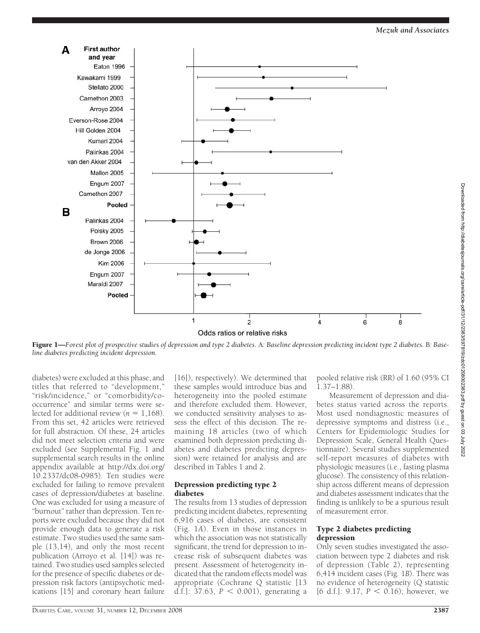

Figure 1—*Forest plot of prospective studies of depression and type 2 diabetes.* A*: Baseline depression predicting incident type 2 diabetes.* B*: Baseline diabetes predicting incident depression.*

diabetes) were excluded at this phase, and titles that referred to "development," "risk/incidence," or "comorbidity/cooccurrence" and similar terms were selected for additional review  $(n = 1,168)$ . From this set, 42 articles were retrieved for full abstraction. Of these, 24 articles did not meet selection criteria and were excluded (see Supplemental Fig. 1 and supplemental search results in the online appendix available at http://dx.doi.org/ 10.2337/dc08-0985). Ten studies were excluded for failing to remove prevalent cases of depression/diabetes at baseline. One was excluded for using a measure of "burnout" rather than depression. Ten reports were excluded because they did not provide enough data to generate a risk estimate. Two studies used the same sample (13,14), and only the most recent publication (Arroyo et al. [14]) was retained. Two studies used samples selected for the presence of specific diabetes or depression risk factors (antipsychotic medications [15] and coronary heart failure

[16]), respectively). We determined that these samples would introduce bias and heterogeneity into the pooled estimate and therefore excluded them. However, we conducted sensitivity analyses to assess the effect of this decision. The remaining 18 articles (two of which examined both depression predicting diabetes and diabetes predicting depression) were retained for analysis and are described in Tables 1 and 2.

#### Depression predicting type 2 diabetes

The results from 13 studies of depression predicting incident diabetes, representing 6,916 cases of diabetes, are consistent (Fig. 1*A*). Even in those instances in which the association was not statistically significant, the trend for depression to increase risk of subsequent diabetes was present. Assessment of heterogeneity indicated that the random effects model was appropriate (Cochrane Q statistic [13 d.f.]:  $37.63$ ,  $P < 0.001$ ), generating a

pooled relative risk (RR) of 1.60 (95% CI 1.37–1.88).

Measurement of depression and diabetes status varied across the reports. Most used nondiagnostic measures of depressive symptoms and distress (i.e., Centers for Epidemiologic Studies for Depression Scale, General Health Questionnaire). Several studies supplemented self-report measures of diabetes with physiologic measures (i.e., fasting plasma glucose). The consistency of this relationship across different means of depression and diabetes assessment indicates that the finding is unlikely to be a spurious result of measurement error.

#### Type 2 diabetes predicting depression

Only seven studies investigated the association between type 2 diabetes and risk of depression (Table 2), representing 6,414 incident cases (Fig. 1*B*). There was no evidence of heterogeneity (Q statistic [6 d.f.]:  $9.17, P \le 0.16$ ); however, we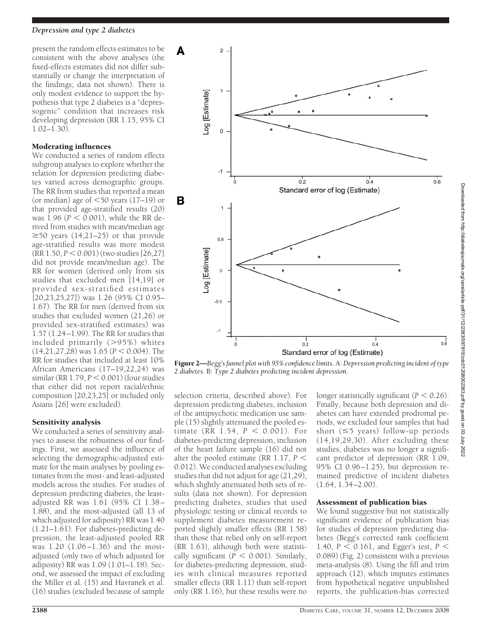present the random effects estimates to be consistent with the above analyses (the fixed-effects estimates did not differ substantially or change the interpretation of the findings; data not shown). There is only modest evidence to support the hypothesis that type 2 diabetes is a "depressogenic" condition that increases risk developing depression (RR 1.15, 95% CI 1.02–1.30).

# Moderating influences

We conducted a series of random effects subgroup analyses to explore whether the relation for depression predicting diabetes varied across demographic groups. The RR from studies that reported a mean (or median) age of  $\leq 50$  years (17–19) or that provided age-stratified results (20) was  $1.96$  ( $P < 0.001$ ), while the RR derived from studies with mean/median age  $\geq$ 50 years (14,21–25) or that provide age-stratified results was more modest  $(RR\ 1.50, P \leq 0.001)$  (two studies [26,27] did not provide mean/median age). The RR for women (derived only from six studies that excluded men [14,19] or provided sex-stratified estimates [20,23,25,27]) was 1.26 (95% CI 0.95– 1.67). The RR for men (derived from six studies that excluded women (21,26) or provided sex-stratified estimates) was 1.57 (1.24–1.99). The RR for studies that included primarily (95%) whites  $(14,21,27,28)$  was  $1.65$  ( $P < 0.004$ ). The RR for studies that included at least 10% African Americans (17–19,22,24) was  $similar (RR 1.79, P < 0.001)$  (four studies that either did not report racial/ethnic composition [20,23,25] or included only Asians [26] were excluded).

# Sensitivity analysis

We conducted a series of sensitivity analyses to assess the robustness of our findings. First, we assessed the influence of selecting the demographic-adjusted estimate for the main analyses by pooling estimates from the most- and least-adjusted models across the studies. For studies of depression predicting diabetes, the leastadjusted RR was 1.61 (95% CI 1.38– 1.88), and the most-adjusted (all 13 of which adjusted for adiposity) RR was 1.40 (1.21–1.61). For diabetes-predicting depression, the least-adjusted pooled RR was 1.20 (1.06–1.36) and the mostadjusted (only two of which adjusted for adiposity) RR was 1.09 (1.01–1.18). Second, we assessed the impact of excluding the Miller et al. (15) and Havranek et al. (16) studies (excluded because of sample



Figure 2—*Begg's funnel plot with 95% confidence limits.* A:*Depression predicting incident of type 2 diabetes.* B: *Type 2 diabetes predicting incident depression.*

selection criteria, described above). For depression predicting diabetes, inclusion of the antipsychotic medication use sample (15) slightly attenuated the pooled estimate (RR  $1.54, P < 0.001$ ). For diabetes-predicting depression, inclusion of the heart failure sample (16) did not alter the pooled estimate (RR 1.17,  $P \leq$ 0.012). We conducted analyses excluding studies that did not adjust for age (21,29), which slightly attenuated both sets of results (data not shown). For depression predicting diabetes, studies that used physiologic testing or clinical records to supplement diabetes measurement reported slightly smaller effects (RR 1.58) than those that relied only on self-report (RR 1.63), although both were statistically significant ( $\overline{P}$  < 0.001). Similarly, for diabetes-predicting depression, studies with clinical measures reported smaller effects (RR 1.11) than self-report only (RR 1.16), but these results were no

longer statistically significant  $(P < 0.26)$ . Finally, because both depression and diabetes can have extended prodromal periods, we excluded four samples that had short ( $\leq$ 5 years) follow-up periods (14,19,29,30). After excluding these studies, diabetes was no longer a significant predictor of depression (RR 1.09, 95% CI 0.96–1.25), but depression remained predictive of incident diabetes  $(1.64, 1.\overline{3}4 - 2.00)$ .

# Assessment of publication bias

We found suggestive but not statistically significant evidence of publication bias for studies of depression predicting diabetes (Begg's corrected rank coefficient 1.40,  $P < 0.161$ , and Egger's test,  $P <$ 0.089) (Fig. 2) consistent with a previous meta-analysis (8). Using the fill and trim approach (12), which imputes estimates from hypothetical negative unpublished reports, the publication-bias corrected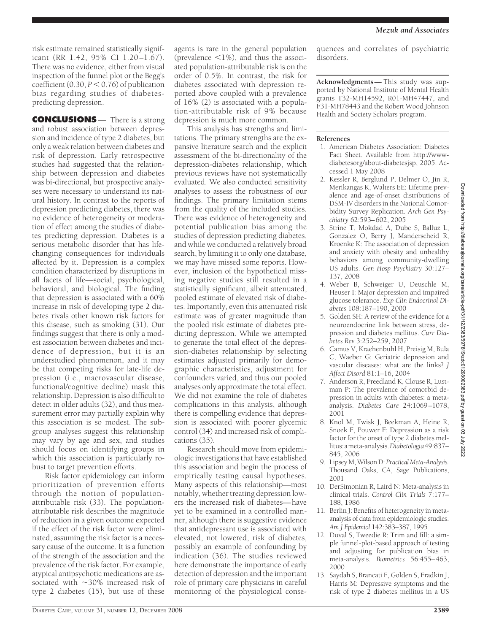risk estimate remained statistically significant (RR 1.42, 95% CI 1.20–1.67). There was no evidence, either from visual inspection of the funnel plot or the Begg's coefficient  $(0.30, P \le 0.76)$  of publication bias regarding studies of diabetespredicting depression.

**CONCLUSIONS** — There is a strong and robust association between depression and incidence of type 2 diabetes, but only a weak relation between diabetes and risk of depression. Early retrospective studies had suggested that the relationship between depression and diabetes was bi-directional, but prospective analyses were necessary to understand its natural history. In contrast to the reports of depression predicting diabetes, there was no evidence of heterogeneity or moderation of effect among the studies of diabetes predicting depression. Diabetes is a serious metabolic disorder that has lifechanging consequences for individuals affected by it. Depression is a complex condition characterized by disruptions in all facets of life—social, psychological, behavioral, and biological. The finding that depression is associated with a 60% increase in risk of developing type 2 diabetes rivals other known risk factors for this disease, such as smoking (31). Our findings suggest that there is only a modest association between diabetes and incidence of depression, but it is an understudied phenomenon, and it may be that competing risks for late-life depression (i.e., macrovascular disease, functional/cognitive decline) mask this relationship. Depression is also difficult to detect in older adults (32), and thus measurement error may partially explain why this association is so modest. The subgroup analyses suggest this relationship may vary by age and sex, and studies should focus on identifying groups in which this association is particularly robust to target prevention efforts.

Risk factor epidemiology can inform prioritization of prevention efforts through the notion of populationattributable risk (33). The populationattributable risk describes the magnitude of reduction in a given outcome expected if the effect of the risk factor were eliminated, assuming the risk factor is a necessary cause of the outcome. It is a function of the strength of the association and the prevalence of the risk factor. For example, atypical antipsychotic medications are associated with  $\sim$ 30% increased risk of type 2 diabetes (15), but use of these

agents is rare in the general population (prevalence  $\leq 1\%$ ), and thus the associated population-attributable risk is on the order of 0.5%. In contrast, the risk for diabetes associated with depression reported above coupled with a prevalence of 16% (2) is associated with a population-attributable risk of 9% because depression is much more common.

This analysis has strengths and limitations. The primary strengths are the expansive literature search and the explicit assessment of the bi-directionality of the depression-diabetes relationship, which previous reviews have not systematically evaluated. We also conducted sensitivity analyses to assess the robustness of our findings. The primary limitation stems from the quality of the included studies. There was evidence of heterogeneity and potential publication bias among the studies of depression predicting diabetes, and while we conducted a relatively broad search, by limiting it to only one database, we may have missed some reports. However, inclusion of the hypothetical missing negative studies still resulted in a statistically significant, albeit attenuated, pooled estimate of elevated risk of diabetes. Importantly, even this attenuated risk estimate was of greater magnitude than the pooled risk estimate of diabetes predicting depression. While we attempted to generate the total effect of the depression-diabetes relationship by selecting estimates adjusted primarily for demographic characteristics, adjustment for confounders varied, and thus our pooled analyses only approximate the total effect. We did not examine the role of diabetes complications in this analysis, although there is compelling evidence that depression is associated with poorer glycemic control (34) and increased risk of complications (35).

Research should move from epidemiologic investigations that have established this association and begin the process of empirically testing causal hypotheses. Many aspects of this relationship—most notably, whether treating depression lowers the increased risk of diabetes—have yet to be examined in a controlled manner, although there is suggestive evidence that antidepressant use is associated with elevated, not lowered, risk of diabetes, possibly an example of confounding by indication (36). The studies reviewed here demonstrate the importance of early detection of depression and the important role of primary care physicians in careful monitoring of the physiological consequences and correlates of psychiatric disorders.

**Acknowledgments**— This study was supported by National Institute of Mental Health grants T32-MH14592, R01-MH47447, and F31-MH78443 and the Robert Wood Johnson Health and Society Scholars program.

# **References**

- 1. American Diabetes Association: Diabetes Fact Sheet. Available from http://wwwdiabetesorg/about-diabetesjsp, 2005. Accessed 1 May 2008
- 2. Kessler R, Berglund P, Delmer O, Jin R, Merikangas K, Walters EE: Lifetime prevalence and age-of-onset distributions of DSM-IV disorders in the National Comorbidity Survey Replication. *Arch Gen Psychiatry* 62:593–602, 2005
- 3. Strine T, Mokdad A, Dube S, Balluz L, Gonzalez O, Berry J, Manderscheid R, Kroenke K: The association of depression and anxiety with obesity and unhealthy behaviors among community-dwelling US adults. *Gen Hosp Psychiatry* 30:127– 137, 2008
- 4. Weber B, Schweiger U, Deuschle M, Heuser I: Major depression and impaired glucose tolerance. *Exp Clin Endocrinol Diabetes* 108:187–190, 2000
- 5. Golden SH: A review of the evidence for a neuroendocrine link between stress, depression and diabetes mellitus. *Curr Diabetes Rev* 3:252–259, 2007
- 6. Camus V, Kraehenbuhl H, Preisig M, Bula C, Waeber G: Geriatric depression and vascular diseases: what are the links? *J Affect Disord* 81:1–16, 2004
- 7. Anderson R, Freedland K, Clouse R, Lustman P: The prevalence of comorbid depression in adults with diabetes: a metaanalysis. *Diabetes Care* 24:1069–1078, 2001
- 8. Knol M, Twisk J, Beekman A, Heine R, Snoek F, Pouwer F: Depression as a risk factor for the onset of type 2 diabetes mellitus:ameta-analysis.*Diabetologia*49:837– 845, 2006
- 9. Lipsey M, Wilson D: *Practical Meta-Analysis.* Thousand Oaks, CA, Sage Publications, 2001
- 10. DerSimonian R, Laird N: Meta-analysis in clinical trials. *Control Clin Trials* 7:177– 188, 1986
- 11. Berlin J: Benefits of heterogeneity in metaanalysis of data from epidemiologic studies. *Am J Epidemiol* 142:383–387, 1995
- 12. Duval S, Tweedie R: Trim and fill: a simple funnel-plot-based approach of testing and adjusting for publication bias in meta-analysis. *Biometrics* 56:455–463, 2000
- 13. Saydah S, Brancati F, Golden S, Fradkin J, Harris M: Depressive symptoms and the risk of type 2 diabetes mellitus in a US